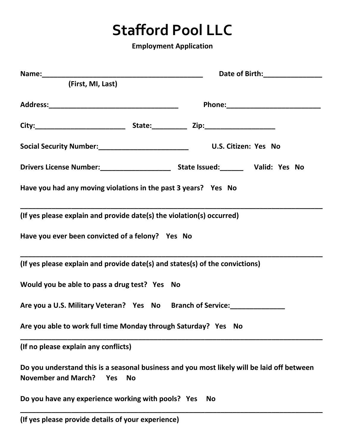## **Stafford Pool LLC**

**Employment Application**

|                                                                              | Date of Birth: ________________                                                            |
|------------------------------------------------------------------------------|--------------------------------------------------------------------------------------------|
| (First, MI, Last)                                                            |                                                                                            |
|                                                                              |                                                                                            |
|                                                                              |                                                                                            |
|                                                                              |                                                                                            |
|                                                                              |                                                                                            |
| Have you had any moving violations in the past 3 years? Yes No               |                                                                                            |
| (If yes please explain and provide date(s) the violation(s) occurred)        |                                                                                            |
| Have you ever been convicted of a felony? Yes No                             |                                                                                            |
| (If yes please explain and provide date(s) and states(s) of the convictions) |                                                                                            |
| Would you be able to pass a drug test? Yes No                                |                                                                                            |
| Are you a U.S. Military Veteran? Yes No Branch of Service:                   |                                                                                            |
| Are you able to work full time Monday through Saturday? Yes No               |                                                                                            |
| (If no please explain any conflicts)                                         |                                                                                            |
| <b>November and March?</b><br>Yes<br><b>No</b>                               | Do you understand this is a seasonal business and you most likely will be laid off between |
| Do you have any experience working with pools? Yes<br><b>No</b>              |                                                                                            |
|                                                                              |                                                                                            |

**(If yes please provide details of your experience)**